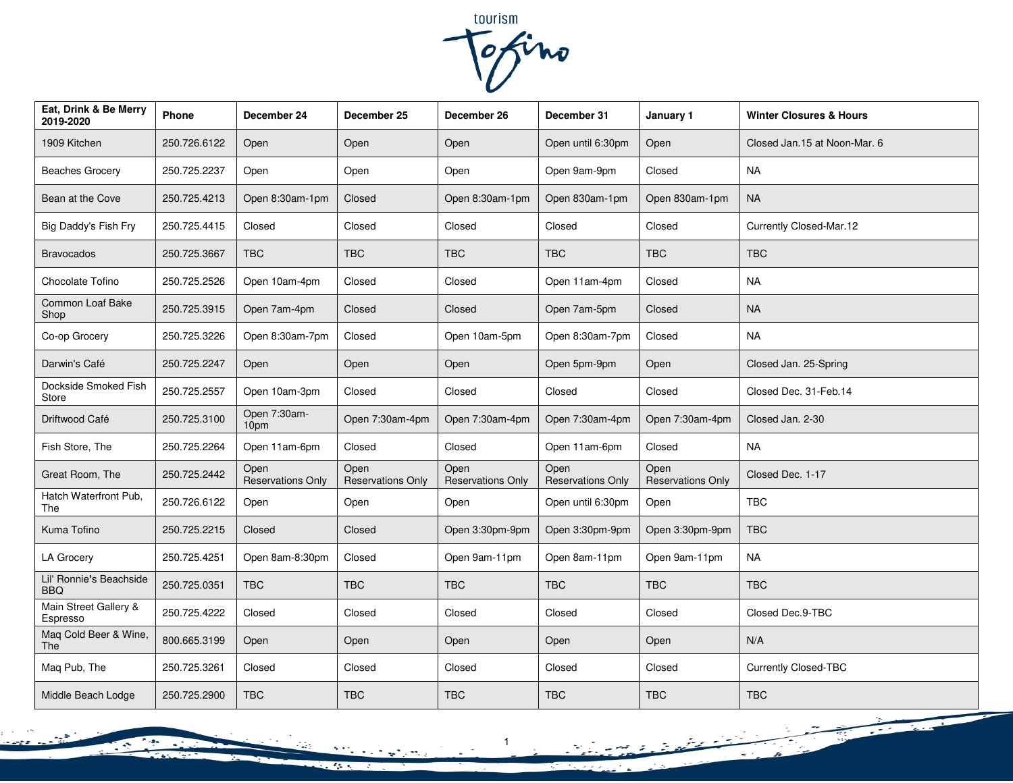tourism<br>Tofino

| Eat, Drink & Be Merry<br>2019-2020    | Phone        | December 24                      | December 25                      | December 26                      | December 31                      | January 1                        | <b>Winter Closures &amp; Hours</b> |
|---------------------------------------|--------------|----------------------------------|----------------------------------|----------------------------------|----------------------------------|----------------------------------|------------------------------------|
| 1909 Kitchen                          | 250.726.6122 | Open                             | Open                             | Open                             | Open until 6:30pm                | Open                             | Closed Jan.15 at Noon-Mar. 6       |
| <b>Beaches Grocery</b>                | 250.725.2237 | Open                             | Open                             | Open                             | Open 9am-9pm                     | Closed                           | <b>NA</b>                          |
| Bean at the Cove                      | 250.725.4213 | Open 8:30am-1pm                  | Closed                           | Open 8:30am-1pm                  | Open 830am-1pm                   | Open 830am-1pm                   | <b>NA</b>                          |
| Big Daddy's Fish Fry                  | 250.725.4415 | Closed                           | Closed                           | Closed                           | Closed                           | Closed                           | Currently Closed-Mar.12            |
| <b>Bravocados</b>                     | 250.725.3667 | <b>TBC</b>                       | <b>TBC</b>                       | <b>TBC</b>                       | <b>TBC</b>                       | <b>TBC</b>                       | <b>TBC</b>                         |
| Chocolate Tofino                      | 250.725.2526 | Open 10am-4pm                    | Closed                           | Closed                           | Open 11am-4pm                    | Closed                           | <b>NA</b>                          |
| Common Loaf Bake<br>Shop              | 250.725.3915 | Open 7am-4pm                     | Closed                           | Closed                           | Open 7am-5pm                     | Closed                           | <b>NA</b>                          |
| Co-op Grocery                         | 250.725.3226 | Open 8:30am-7pm                  | Closed                           | Open 10am-5pm                    | Open 8:30am-7pm                  | Closed                           | <b>NA</b>                          |
| Darwin's Café                         | 250.725.2247 | Open                             | Open                             | Open                             | Open 5pm-9pm                     | Open                             | Closed Jan. 25-Spring              |
| Dockside Smoked Fish<br>Store         | 250.725.2557 | Open 10am-3pm                    | Closed                           | Closed                           | Closed                           | Closed                           | Closed Dec. 31-Feb.14              |
| Driftwood Café                        | 250.725.3100 | Open 7:30am-<br>10pm             | Open 7:30am-4pm                  | Open 7:30am-4pm                  | Open 7:30am-4pm                  | Open 7:30am-4pm                  | Closed Jan. 2-30                   |
| Fish Store, The                       | 250.725.2264 | Open 11am-6pm                    | Closed                           | Closed                           | Open 11am-6pm                    | Closed                           | <b>NA</b>                          |
| Great Room, The                       | 250.725.2442 | Open<br><b>Reservations Only</b> | Open<br><b>Reservations Only</b> | Open<br><b>Reservations Only</b> | Open<br><b>Reservations Only</b> | Open<br><b>Reservations Only</b> | Closed Dec. 1-17                   |
| Hatch Waterfront Pub,<br>The          | 250.726.6122 | Open                             | Open                             | Open                             | Open until 6:30pm                | Open                             | <b>TBC</b>                         |
| Kuma Tofino                           | 250.725.2215 | Closed                           | Closed                           | Open 3:30pm-9pm                  | Open 3:30pm-9pm                  | Open 3:30pm-9pm                  | <b>TBC</b>                         |
| <b>LA Grocery</b>                     | 250.725.4251 | Open 8am-8:30pm                  | Closed                           | Open 9am-11pm                    | Open 8am-11pm                    | Open 9am-11pm                    | <b>NA</b>                          |
| Lil' Ronnie's Beachside<br><b>BBQ</b> | 250.725.0351 | <b>TBC</b>                       | <b>TBC</b>                       | <b>TBC</b>                       | <b>TBC</b>                       | <b>TBC</b>                       | <b>TBC</b>                         |
| Main Street Gallery &<br>Espresso     | 250.725.4222 | Closed                           | Closed                           | Closed                           | Closed                           | Closed                           | Closed Dec.9-TBC                   |
| Maq Cold Beer & Wine,<br>The          | 800.665.3199 | Open                             | Open                             | Open                             | Open                             | Open                             | N/A                                |
| Maq Pub, The                          | 250.725.3261 | Closed                           | Closed                           | Closed                           | Closed                           | Closed                           | <b>Currently Closed-TBC</b>        |
| Middle Beach Lodge                    | 250.725.2900 | <b>TBC</b>                       | <b>TBC</b>                       | <b>TBC</b>                       | <b>TBC</b>                       | <b>TBC</b>                       | <b>TBC</b>                         |

 $\tilde{}$ 

 $\sigma^{-1}$  .

 $\sim$ 

التواريخ للباب

 $\mathcal{F}_{\mathcal{G}}(x)$